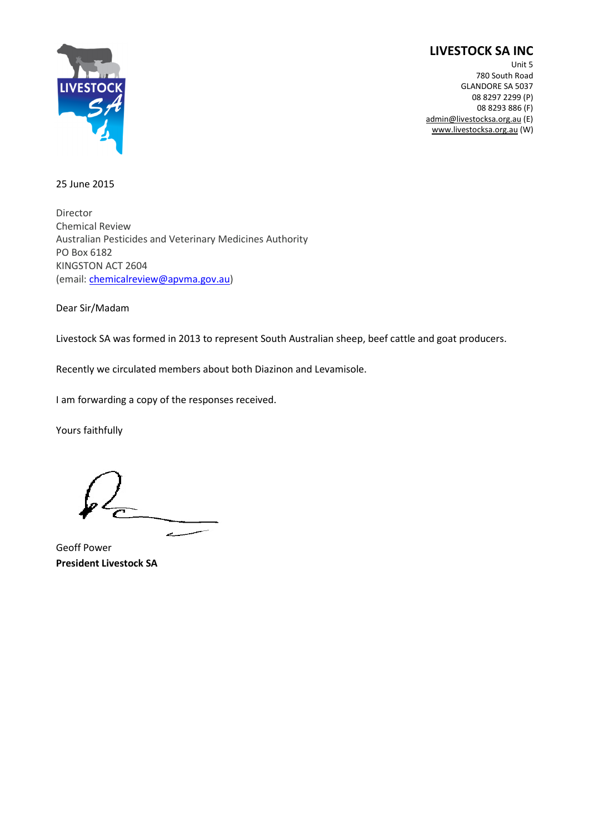## **LIVESTOCK SA INC**



Unit 5 780 South Road GLANDORE SA 5037 08 8297 2299 (P) 08 8293 886 (F) admin@livestocksa.org.au (E) www.livestocksa.org.au (W)

## 25 June 2015

Director Chemical Review Australian Pesticides and Veterinary Medicines Authority PO Box 6182 KINGSTON ACT 2604 (email: chemicalreview@apvma.gov.au)

Dear Sir/Madam

Livestock SA was formed in 2013 to represent South Australian sheep, beef cattle and goat producers.

Recently we circulated members about both Diazinon and Levamisole.

I am forwarding a copy of the responses received.

Yours faithfully

Geoff Power **President Livestock SA**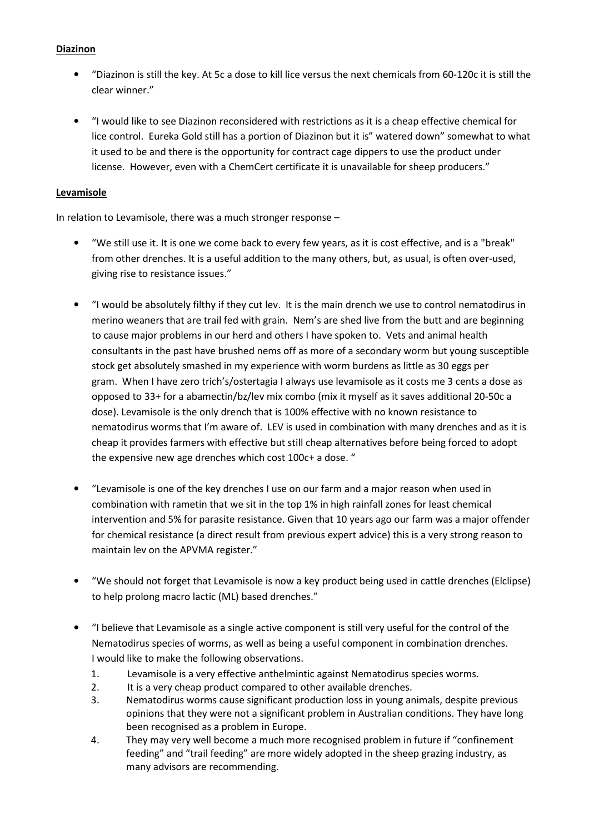## **Diazinon**

- "Diazinon is still the key. At 5c a dose to kill lice versus the next chemicals from 60-120c it is still the clear winner."
- "I would like to see Diazinon reconsidered with restrictions as it is a cheap effective chemical for lice control. Eureka Gold still has a portion of Diazinon but it is" watered down" somewhat to what it used to be and there is the opportunity for contract cage dippers to use the product under license. However, even with a ChemCert certificate it is unavailable for sheep producers."

## **Levamisole**

In relation to Levamisole, there was a much stronger response –

- "We still use it. It is one we come back to every few years, as it is cost effective, and is a "break" from other drenches. It is a useful addition to the many others, but, as usual, is often over-used, giving rise to resistance issues."
- "I would be absolutely filthy if they cut lev. It is the main drench we use to control nematodirus in merino weaners that are trail fed with grain. Nem's are shed live from the butt and are beginning to cause major problems in our herd and others I have spoken to. Vets and animal health consultants in the past have brushed nems off as more of a secondary worm but young susceptible stock get absolutely smashed in my experience with worm burdens as little as 30 eggs per gram. When I have zero trich's/ostertagia I always use levamisole as it costs me 3 cents a dose as opposed to 33+ for a abamectin/bz/lev mix combo (mix it myself as it saves additional 20-50c a dose). Levamisole is the only drench that is 100% effective with no known resistance to nematodirus worms that I'm aware of. LEV is used in combination with many drenches and as it is cheap it provides farmers with effective but still cheap alternatives before being forced to adopt the expensive new age drenches which cost 100c+ a dose. "
- "Levamisole is one of the key drenches I use on our farm and a major reason when used in combination with rametin that we sit in the top 1% in high rainfall zones for least chemical intervention and 5% for parasite resistance. Given that 10 years ago our farm was a major offender for chemical resistance (a direct result from previous expert advice) this is a very strong reason to maintain lev on the APVMA register."
- "We should not forget that Levamisole is now a key product being used in cattle drenches (Elclipse) to help prolong macro lactic (ML) based drenches."
- "I believe that Levamisole as a single active component is still very useful for the control of the Nematodirus species of worms, as well as being a useful component in combination drenches. I would like to make the following observations.
	- 1. Levamisole is a very effective anthelmintic against Nematodirus species worms.
	- 2. It is a very cheap product compared to other available drenches.
	- 3. Nematodirus worms cause significant production loss in young animals, despite previous opinions that they were not a significant problem in Australian conditions. They have long been recognised as a problem in Europe.
	- 4. They may very well become a much more recognised problem in future if "confinement feeding" and "trail feeding" are more widely adopted in the sheep grazing industry, as many advisors are recommending.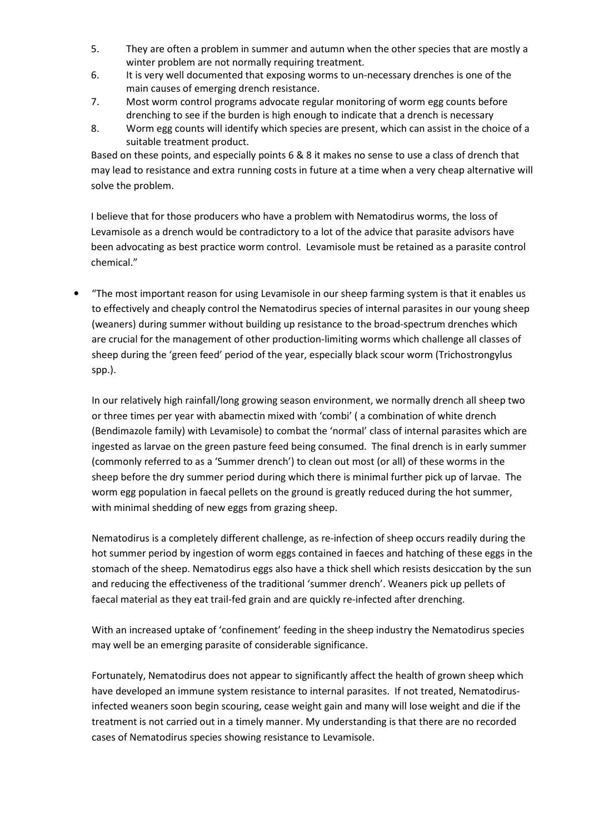- 5. They are often a problem in summer and autumn when the other species that are mostly a winter problem are not normally requiring treatment.
- 6. It is very well documented that exposing worms to un-necessary drenches is one of the main causes of emerging drench resistance.
- 7. Most worm control programs advocate regular monitoring of worm egg counts before drenching to see if the burden is high enough to indicate that a drench is necessary
- 8. Worm egg counts will identify which species are present, which can assist in the choice of a suitable treatment product.

Based on these points, and especially points 6 & 8 it makes no sense to use a class of drench that may lead to resistance and extra running costs in future at a time when a very cheap alternative will solve the problem.

I believe that for those producers who have a problem with Nematodirus worms, the loss of Levamisole as a drench would be contradictory to a lot of the advice that parasite advisors have been advocating as best practice worm control. Levamisole must be retained as a parasite control chemical."

• "The most important reason for using Levamisole in our sheep farming system is that it enables us to effectively and cheaply control the Nematodirus species of internal parasites in our young sheep (weaners) during summer without building up resistance to the broad-spectrum drenches which are crucial for the management of other production-limiting worms which challenge all classes of sheep during the 'green feed' period of the year, especially black scour worm (Trichostrongylus spp.).

In our relatively high rainfall/long growing season environment, we normally drench all sheep two or three times per year with abamectin mixed with 'combi' ( a combination of white drench (Bendimazole family) with Levamisole) to combat the 'normal' class of internal parasites which are ingested as larvae on the green pasture feed being consumed. The final drench is in early summer (commonly referred to as a 'Summer drench') to clean out most (or all) of these worms in the sheep before the dry summer period during which there is minimal further pick up of larvae. The worm egg population in faecal pellets on the ground is greatly reduced during the hot summer, with minimal shedding of new eggs from grazing sheep.

Nematodirus is a completely different challenge, as re-infection of sheep occurs readily during the hot summer period by ingestion of worm eggs contained in faeces and hatching of these eggs in the stomach of the sheep. Nematodirus eggs also have a thick shell which resists desiccation by the sun and reducing the effectiveness of the traditional 'summer drench'. Weaners pick up pellets of faecal material as they eat trail-fed grain and are quickly re-infected after drenching.

With an increased uptake of 'confinement' feeding in the sheep industry the Nematodirus species may well be an emerging parasite of considerable significance.

Fortunately, Nematodirus does not appear to significantly affect the health of grown sheep which have developed an immune system resistance to internal parasites. If not treated, Nematodirusinfected weaners soon begin scouring, cease weight gain and many will lose weight and die if the treatment is not carried out in a timely manner. My understanding is that there are no recorded cases of Nematodirus species showing resistance to Levamisole.